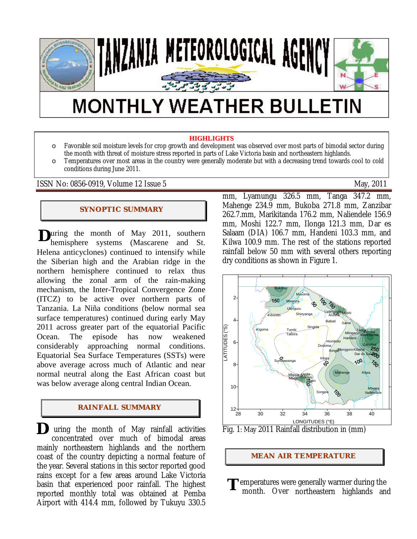

# **MONTHLY WEATHER BULLETIN**

#### **HIGHLIGHTS**

o Favorable soil moisture levels for crop growth and development was observed over most parts of bimodal sector during the month with threat of moisture stress reported in parts of Lake Victoria basin and northeastern highlands. o Temperatures over most areas in the country were generally moderate but with a decreasing trend towards cool to cold conditions during June 2011.

ISSN No: 0856-0919, Volume 12 Issue 5 May, 2011

#### **SYNOPTIC SUMMARY**

**D**uring the month of May 2011, southern<br>hemisphere systems (Mascarene and St. hemisphere systems (Mascarene and St. Helena anticyclones) continued to intensify while the Siberian high and the Arabian ridge in the northern hemisphere continued to relax thus allowing the zonal arm of the rain-making mechanism, the Inter-Tropical Convergence Zone (ITCZ) to be active over northern parts of Tanzania. La Niña conditions (below normal sea surface temperatures) continued during early May 2011 across greater part of the equatorial Pacific Ocean. The episode has now weakened considerably approaching normal conditions. Equatorial Sea Surface Temperatures (SSTs) were above average across much of Atlantic and near normal neutral along the East African coast but was below average along central Indian Ocean.

#### **RAI NFALL SUMMARY**

 uring the month of May rainfall activities concentrated over much of bimodal areas mainly northeastern highlands and the northern coast of the country depicting a normal feature of the year. Several stations in this sector reported good rains except for a few areas around Lake Victoria basin that experienced poor rainfall. The highest reported monthly total was obtained at Pemba Airport with 414.4 mm, followed by Tukuyu 330.5 **D** 

mm, Lyamungu 326.5 mm, Tanga 347.2 mm, Mahenge 234.9 mm, Bukoba 271.8 mm, Zanzibar 262.7.mm, Marikitanda 176.2 mm, Naliendele 156.9 mm, Moshi 122.7 mm, Ilonga 121.3 mm, Dar es Salaam (DIA) 106.7 mm, Handeni 103.3 mm, and Kilwa 100.9 mm. The rest of the stations reported rainfall below 50 mm with several others reporting dry conditions as shown in Figure 1.





#### **MEAN AIR TEMPERATURE**

emperatures were generally warmer during the month. Over northeastern highlands and **T**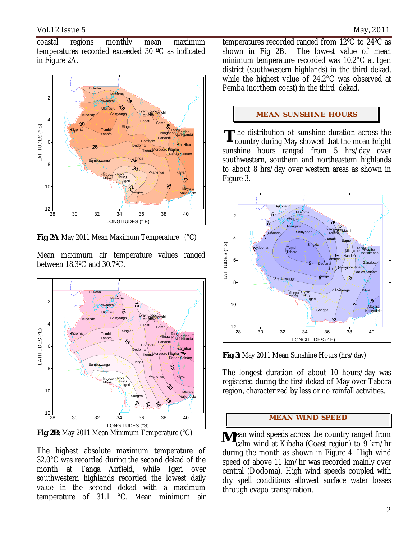coastal regions monthly mean maximum temperatures recorded exceeded 30 ºC as indicated in Figure 2A.



**Fig 2A**: May 2011 Mean Maximum Temperature (°C)

Mean maximum air temperature values ranged between 18.3ºC and 30.7ºC.



The highest absolute maximum temperature of 32.0°C was recorded during the second dekad of the month at Tanga Airfield, while Igeri over southwestern highlands recorded the lowest daily value in the second dekad with a maximum temperature of 31.1 °C. Mean minimum air

temperatures recorded ranged from 12ºC to 24ºC as shown in Fig 2B. The lowest value of mean minimum temperature recorded was 10.2°C at Igeri district (southwestern highlands) in the third dekad, while the highest value of 24.2°C was observed at Pemba (northern coast) in the third dekad.

#### **MEAN SUNSHINE HOURS**

**T** he distribution of sunshine duration across the country during May showed that the mean bright country during May showed that the mean bright sunshine hours ranged from 5 hrs/day over southwestern, southern and northeastern highlands to about 8 hrs/day over western areas as shown in Figure 3.



**Fig 3**: May 2011 Mean Sunshine Hours (hrs/day)

The longest duration of about 10 hours/day was registered during the first dekad of May over Tabora region, characterized by less or no rainfall activities.

#### **MEAN WI ND SPEED**

**M**ean wind speeds across the country ranged from<br>calm wind at Kibaha (Coast region) to 9 km/hr calm wind at Kibaha (Coast region) to 9 km/hr during the month as shown in Figure 4. High wind speed of above 11 km/hr was recorded mainly over central (Dodoma). High wind speeds coupled with dry spell conditions allowed surface water losses through evapo-transpiration.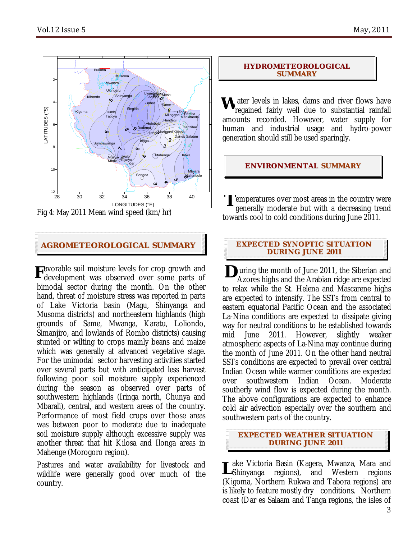֡֕֡֬



Fig 4: May 2011 Mean wind speed (km/hr)

### **AGROMETEOROLOGICAL SUMMARY EXPECTED SYNOPTIC SITUATION**

**F**avorable soil moisture levels for crop growth and development was observed over some parts of development was observed over some parts of bimodal sector during the month. On the other hand, threat of moisture stress was reported in parts of Lake Victoria basin (Magu, Shinyanga and Musoma districts) and northeastern highlands (high grounds of Same, Mwanga, Karatu, Loliondo, Simanjiro, and lowlands of Rombo districts) causing stunted or wilting to crops mainly beans and maize which was generally at advanced vegetative stage. For the unimodal sector harvesting activities started over several parts but with anticipated less harvest following poor soil moisture supply experienced during the season as observed over parts of southwestern highlands (Iringa north, Chunya and Mbarali), central, and western areas of the country. Performance of most field crops over those areas was between poor to moderate due to inadequate soil moisture supply although excessive supply was another threat that hit Kilosa and Ilonga areas in Mahenge (Morogoro region).

Pastures and water availability for livestock and wildlife were generally good over much of the country.

#### **HYDROMETEOROLOGICAL SUMMARY**

**W** ater levels in lakes, dams and river flows have regained fairly well due to substantial rainfall regained fairly well due to substantial rainfall amounts recorded. However, water supply for human and industrial usage and hydro-power generation should still be used sparingly.

**ENVIRONMENTAL SUMMARY**

**T** emperatures over most areas in the country were<br>generally moderate but with a decreasing trend generally moderate but with a decreasing trend towards cool to cold conditions during June 2011.

## **DURI NG J UNE 2011**

I **D** uring the month of June 2011, the Siberian and Azores highs and the Arabian ridge are expected Azores highs and the Arabian ridge are expected to relax while the St. Helena and Mascarene highs are expected to intensify. The SSTs from central to eastern equatorial Pacific Ocean and the associated La-Nina conditions are expected to dissipate giving way for neutral conditions to be established towards mid June 2011. However, slightly weaker atmospheric aspects of La-Nina may continue during the month of June 2011. On the other hand neutral SSTs conditions are expected to prevail over central Indian Ocean while warmer conditions are expected over southwestern Indian Ocean. Moderate southerly wind flow is expected during the month. The above configurations are expected to enhance cold air advection especially over the southern and southwestern parts of the country.

**EXPECTED WEATHER SITUATION DURI NG J UNE 2011**

ake Victoria Basin (Kagera, Mwanza, Mara and **L**ake Victoria Basin (Kagera, Mwanza, Mara and<br>LShinyanga regions), and Western regions (Kigoma, Northern Rukwa and Tabora regions) are is likely to feature mostly dry conditions. Northern coast (Dar es Salaam and Tanga regions, the isles of